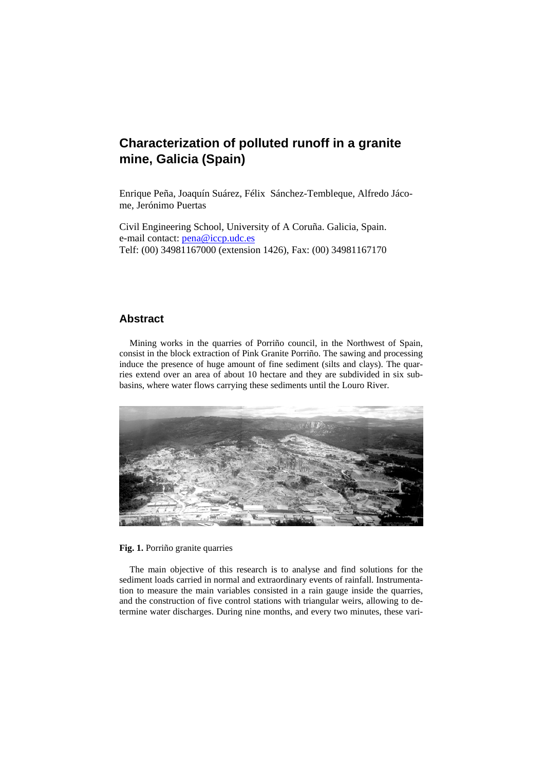# **Characterization of polluted runoff in a granite mine, Galicia (Spain)**

Enrique Peña, Joaquín Suárez, Félix Sánchez-Tembleque, Alfredo Jácome, Jerónimo Puertas

Civil Engineering School, University of A Coruña. Galicia, Spain. e-mail contact: pena@iccp.udc.es Telf: (00) 34981167000 (extension 1426), Fax: (00) 34981167170

## **Abstract**

Mining works in the quarries of Porriño council, in the Northwest of Spain, consist in the block extraction of Pink Granite Porriño. The sawing and processing induce the presence of huge amount of fine sediment (silts and clays). The quarries extend over an area of about 10 hectare and they are subdivided in six subbasins, where water flows carrying these sediments until the Louro River.



#### **Fig. 1.** Porriño granite quarries

The main objective of this research is to analyse and find solutions for the sediment loads carried in normal and extraordinary events of rainfall. Instrumentation to measure the main variables consisted in a rain gauge inside the quarries, and the construction of five control stations with triangular weirs, allowing to determine water discharges. During nine months, and every two minutes, these vari-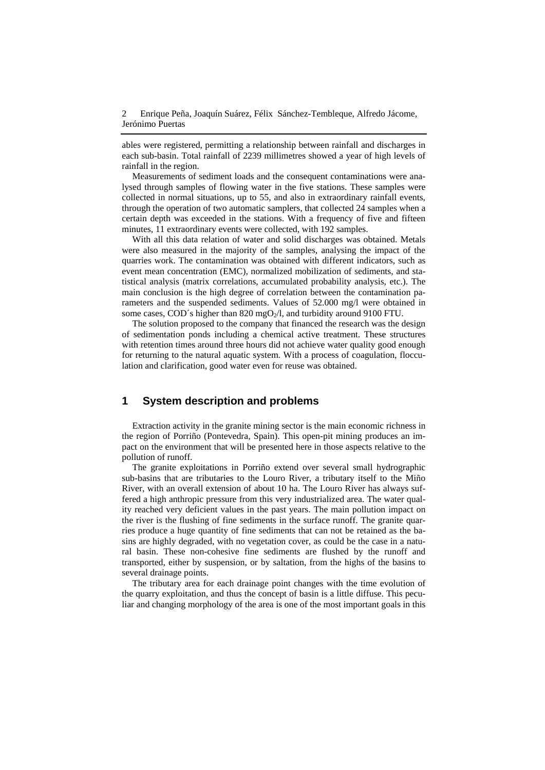ables were registered, permitting a relationship between rainfall and discharges in each sub-basin. Total rainfall of 2239 millimetres showed a year of high levels of rainfall in the region.

Measurements of sediment loads and the consequent contaminations were analysed through samples of flowing water in the five stations. These samples were collected in normal situations, up to 55, and also in extraordinary rainfall events, through the operation of two automatic samplers, that collected 24 samples when a certain depth was exceeded in the stations. With a frequency of five and fifteen minutes, 11 extraordinary events were collected, with 192 samples.

With all this data relation of water and solid discharges was obtained. Metals were also measured in the majority of the samples, analysing the impact of the quarries work. The contamination was obtained with different indicators, such as event mean concentration (EMC), normalized mobilization of sediments, and statistical analysis (matrix correlations, accumulated probability analysis, etc.). The main conclusion is the high degree of correlation between the contamination parameters and the suspended sediments. Values of 52.000 mg/l were obtained in some cases, COD´s higher than 820 mgO<sub>2</sub>/l, and turbidity around 9100 FTU.

The solution proposed to the company that financed the research was the design of sedimentation ponds including a chemical active treatment. These structures with retention times around three hours did not achieve water quality good enough for returning to the natural aquatic system. With a process of coagulation, flocculation and clarification, good water even for reuse was obtained.

### **1 System description and problems**

Extraction activity in the granite mining sector is the main economic richness in the region of Porriño (Pontevedra, Spain). This open-pit mining produces an impact on the environment that will be presented here in those aspects relative to the pollution of runoff.

The granite exploitations in Porriño extend over several small hydrographic sub-basins that are tributaries to the Louro River, a tributary itself to the Miño River, with an overall extension of about 10 ha. The Louro River has always suffered a high anthropic pressure from this very industrialized area. The water quality reached very deficient values in the past years. The main pollution impact on the river is the flushing of fine sediments in the surface runoff. The granite quarries produce a huge quantity of fine sediments that can not be retained as the basins are highly degraded, with no vegetation cover, as could be the case in a natural basin. These non-cohesive fine sediments are flushed by the runoff and transported, either by suspension, or by saltation, from the highs of the basins to several drainage points.

The tributary area for each drainage point changes with the time evolution of the quarry exploitation, and thus the concept of basin is a little diffuse. This peculiar and changing morphology of the area is one of the most important goals in this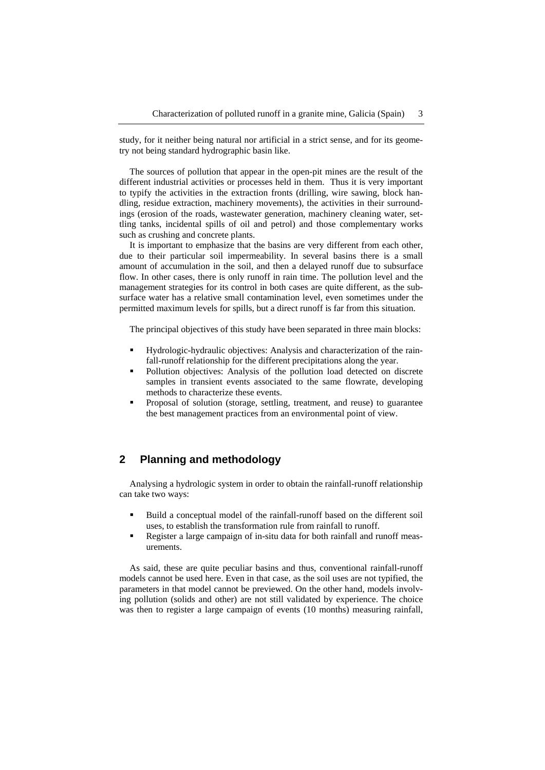study, for it neither being natural nor artificial in a strict sense, and for its geometry not being standard hydrographic basin like.

The sources of pollution that appear in the open-pit mines are the result of the different industrial activities or processes held in them. Thus it is very important to typify the activities in the extraction fronts (drilling, wire sawing, block handling, residue extraction, machinery movements), the activities in their surroundings (erosion of the roads, wastewater generation, machinery cleaning water, settling tanks, incidental spills of oil and petrol) and those complementary works such as crushing and concrete plants.

It is important to emphasize that the basins are very different from each other, due to their particular soil impermeability. In several basins there is a small amount of accumulation in the soil, and then a delayed runoff due to subsurface flow. In other cases, there is only runoff in rain time. The pollution level and the management strategies for its control in both cases are quite different, as the subsurface water has a relative small contamination level, even sometimes under the permitted maximum levels for spills, but a direct runoff is far from this situation.

The principal objectives of this study have been separated in three main blocks:

- Hydrologic-hydraulic objectives: Analysis and characterization of the rainfall-runoff relationship for the different precipitations along the year.
- Pollution objectives: Analysis of the pollution load detected on discrete samples in transient events associated to the same flowrate, developing methods to characterize these events.
- Proposal of solution (storage, settling, treatment, and reuse) to guarantee the best management practices from an environmental point of view.

# **2 Planning and methodology**

Analysing a hydrologic system in order to obtain the rainfall-runoff relationship can take two ways:

- Build a conceptual model of the rainfall-runoff based on the different soil uses, to establish the transformation rule from rainfall to runoff.
- Register a large campaign of in-situ data for both rainfall and runoff measurements.

As said, these are quite peculiar basins and thus, conventional rainfall-runoff models cannot be used here. Even in that case, as the soil uses are not typified, the parameters in that model cannot be previewed. On the other hand, models involving pollution (solids and other) are not still validated by experience. The choice was then to register a large campaign of events (10 months) measuring rainfall,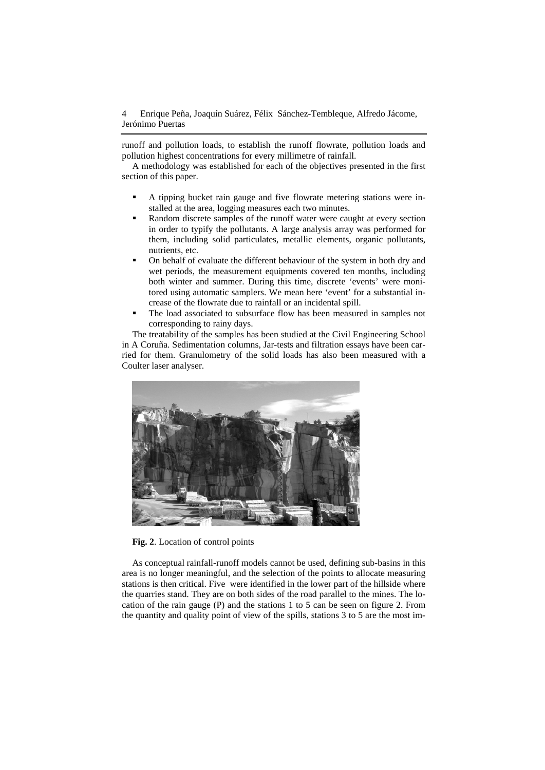runoff and pollution loads, to establish the runoff flowrate, pollution loads and pollution highest concentrations for every millimetre of rainfall.

A methodology was established for each of the objectives presented in the first section of this paper.

- A tipping bucket rain gauge and five flowrate metering stations were installed at the area, logging measures each two minutes.
- Random discrete samples of the runoff water were caught at every section in order to typify the pollutants. A large analysis array was performed for them, including solid particulates, metallic elements, organic pollutants, nutrients, etc.
- On behalf of evaluate the different behaviour of the system in both dry and wet periods, the measurement equipments covered ten months, including both winter and summer. During this time, discrete 'events' were monitored using automatic samplers. We mean here 'event' for a substantial increase of the flowrate due to rainfall or an incidental spill.
- The load associated to subsurface flow has been measured in samples not corresponding to rainy days.

The treatability of the samples has been studied at the Civil Engineering School in A Coruña. Sedimentation columns, Jar-tests and filtration essays have been carried for them. Granulometry of the solid loads has also been measured with a Coulter laser analyser.



**Fig. 2**. Location of control points

As conceptual rainfall-runoff models cannot be used, defining sub-basins in this area is no longer meaningful, and the selection of the points to allocate measuring stations is then critical. Five were identified in the lower part of the hillside where the quarries stand. They are on both sides of the road parallel to the mines. The location of the rain gauge (P) and the stations 1 to 5 can be seen on figure 2. From the quantity and quality point of view of the spills, stations 3 to 5 are the most im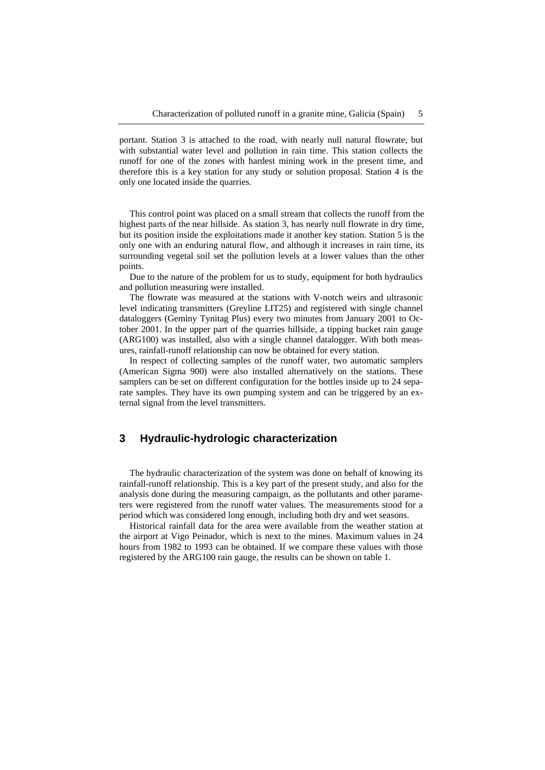portant. Station 3 is attached to the road, with nearly null natural flowrate, but with substantial water level and pollution in rain time. This station collects the runoff for one of the zones with hardest mining work in the present time, and therefore this is a key station for any study or solution proposal. Station 4 is the only one located inside the quarries.

This control point was placed on a small stream that collects the runoff from the highest parts of the near hillside. As station 3, has nearly null flowrate in dry time, but its position inside the exploitations made it another key station. Station 5 is the only one with an enduring natural flow, and although it increases in rain time, its surrounding vegetal soil set the pollution levels at a lower values than the other points.

Due to the nature of the problem for us to study, equipment for both hydraulics and pollution measuring were installed.

The flowrate was measured at the stations with V-notch weirs and ultrasonic level indicating transmitters (Greyline LIT25) and registered with single channel dataloggers (Geminy Tynitag Plus) every two minutes from January 2001 to October 2001. In the upper part of the quarries hillside, a tipping bucket rain gauge (ARG100) was installed, also with a single channel datalogger. With both measures, rainfall-runoff relationship can now be obtained for every station.

In respect of collecting samples of the runoff water, two automatic samplers (American Sigma 900) were also installed alternatively on the stations. These samplers can be set on different configuration for the bottles inside up to 24 separate samples. They have its own pumping system and can be triggered by an external signal from the level transmitters.

## **3 Hydraulic-hydrologic characterization**

The hydraulic characterization of the system was done on behalf of knowing its rainfall-runoff relationship. This is a key part of the present study, and also for the analysis done during the measuring campaign, as the pollutants and other parameters were registered from the runoff water values. The measurements stood for a period which was considered long enough, including both dry and wet seasons.

Historical rainfall data for the area were available from the weather station at the airport at Vigo Peinador, which is next to the mines. Maximum values in 24 hours from 1982 to 1993 can be obtained. If we compare these values with those registered by the ARG100 rain gauge, the results can be shown on table 1.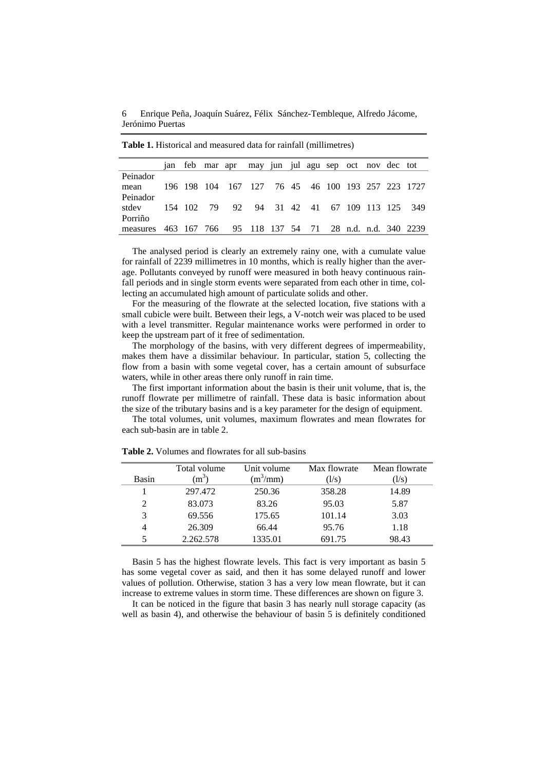6 Enrique Peña, Joaquín Suárez, Félix Sánchez-Tembleque, Alfredo Jácome, Jerónimo Puertas

|          |  | jan feb mar apr may jun jul agu sep oct nov dec tot |  |  |  |  |                                                    |
|----------|--|-----------------------------------------------------|--|--|--|--|----------------------------------------------------|
| Peinador |  |                                                     |  |  |  |  |                                                    |
| mean     |  |                                                     |  |  |  |  | 196 198 104 167 127 76 45 46 100 193 257 223 1727  |
| Peinador |  |                                                     |  |  |  |  |                                                    |
| stdev    |  |                                                     |  |  |  |  | 154 102 79 92 94 31 42 41 67 109 113 125 349       |
| Porriño  |  |                                                     |  |  |  |  |                                                    |
| measures |  |                                                     |  |  |  |  | 463 167 766 95 118 137 54 71 28 n.d. n.d. 340 2239 |

**Table 1.** Historical and measured data for rainfall (millimetres)

The analysed period is clearly an extremely rainy one, with a cumulate value for rainfall of 2239 millimetres in 10 months, which is really higher than the average. Pollutants conveyed by runoff were measured in both heavy continuous rainfall periods and in single storm events were separated from each other in time, collecting an accumulated high amount of particulate solids and other.

For the measuring of the flowrate at the selected location, five stations with a small cubicle were built. Between their legs, a V-notch weir was placed to be used with a level transmitter. Regular maintenance works were performed in order to keep the upstream part of it free of sedimentation.

The morphology of the basins, with very different degrees of impermeability, makes them have a dissimilar behaviour. In particular, station 5, collecting the flow from a basin with some vegetal cover, has a certain amount of subsurface waters, while in other areas there only runoff in rain time.

The first important information about the basin is their unit volume, that is, the runoff flowrate per millimetre of rainfall. These data is basic information about the size of the tributary basins and is a key parameter for the design of equipment.

The total volumes, unit volumes, maximum flowrates and mean flowrates for each sub-basin are in table 2.

|                | Total volume | Unit volume | Max flowrate | Mean flowrate |
|----------------|--------------|-------------|--------------|---------------|
| Basin          | $(m^3)$      | $(m^3/mm)$  | (1/s)        | (1/s)         |
|                | 297.472      | 250.36      | 358.28       | 14.89         |
| $\mathfrak{D}$ | 83.073       | 83.26       | 95.03        | 5.87          |
| 3              | 69.556       | 175.65      | 101.14       | 3.03          |
|                | 26.309       | 66.44       | 95.76        | 1.18          |
|                | 2.262.578    | 1335.01     | 691.75       | 98.43         |

**Table 2.** Volumes and flowrates for all sub-basins

Basin 5 has the highest flowrate levels. This fact is very important as basin 5 has some vegetal cover as said, and then it has some delayed runoff and lower values of pollution. Otherwise, station 3 has a very low mean flowrate, but it can increase to extreme values in storm time. These differences are shown on figure 3.

It can be noticed in the figure that basin 3 has nearly null storage capacity (as well as basin 4), and otherwise the behaviour of basin 5 is definitely conditioned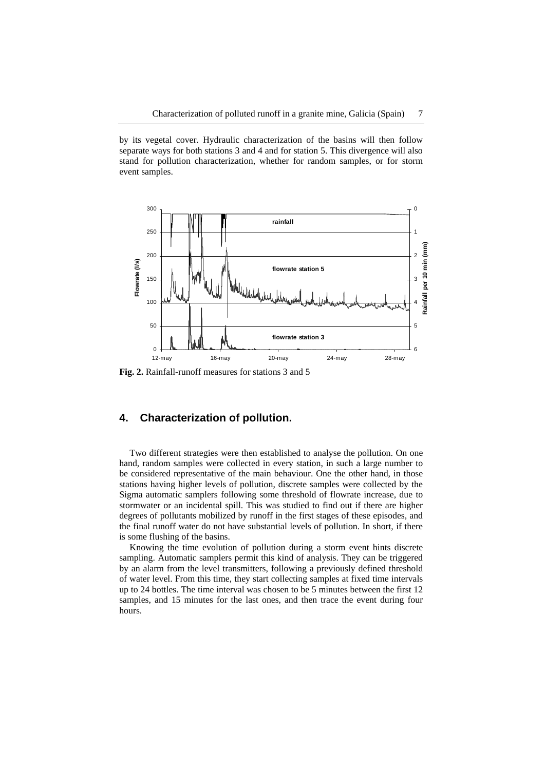by its vegetal cover. Hydraulic characterization of the basins will then follow separate ways for both stations 3 and 4 and for station 5. This divergence will also stand for pollution characterization, whether for random samples, or for storm event samples.



**Fig. 2.** Rainfall-runoff measures for stations 3 and 5

#### **4. Characterization of pollution.**

Two different strategies were then established to analyse the pollution. On one hand, random samples were collected in every station, in such a large number to be considered representative of the main behaviour. One the other hand, in those stations having higher levels of pollution, discrete samples were collected by the Sigma automatic samplers following some threshold of flowrate increase, due to stormwater or an incidental spill. This was studied to find out if there are higher degrees of pollutants mobilized by runoff in the first stages of these episodes, and the final runoff water do not have substantial levels of pollution. In short, if there is some flushing of the basins.

Knowing the time evolution of pollution during a storm event hints discrete sampling. Automatic samplers permit this kind of analysis. They can be triggered by an alarm from the level transmitters, following a previously defined threshold of water level. From this time, they start collecting samples at fixed time intervals up to 24 bottles. The time interval was chosen to be 5 minutes between the first 12 samples, and 15 minutes for the last ones, and then trace the event during four hours.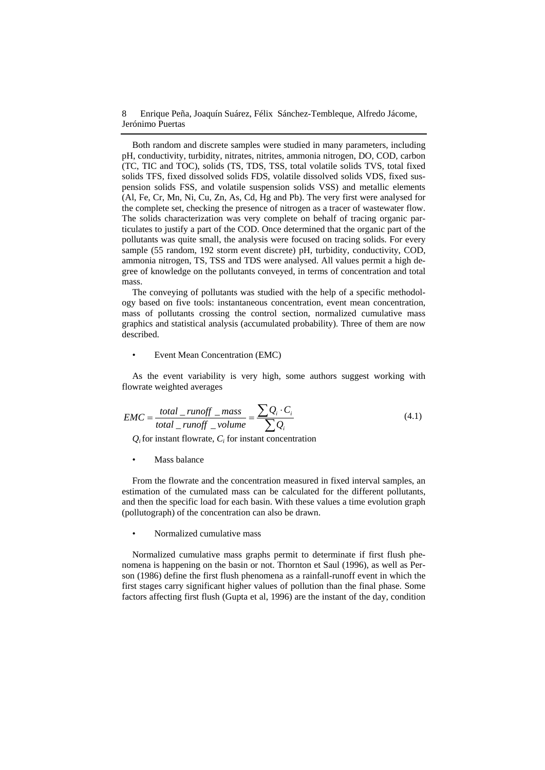Both random and discrete samples were studied in many parameters, including pH, conductivity, turbidity, nitrates, nitrites, ammonia nitrogen, DO, COD, carbon (TC, TIC and TOC), solids (TS, TDS, TSS, total volatile solids TVS, total fixed solids TFS, fixed dissolved solids FDS, volatile dissolved solids VDS, fixed suspension solids FSS, and volatile suspension solids VSS) and metallic elements (Al, Fe, Cr, Mn, Ni, Cu, Zn, As, Cd, Hg and Pb). The very first were analysed for the complete set, checking the presence of nitrogen as a tracer of wastewater flow. The solids characterization was very complete on behalf of tracing organic particulates to justify a part of the COD. Once determined that the organic part of the pollutants was quite small, the analysis were focused on tracing solids. For every sample (55 random, 192 storm event discrete) pH, turbidity, conductivity, COD, ammonia nitrogen, TS, TSS and TDS were analysed. All values permit a high degree of knowledge on the pollutants conveyed, in terms of concentration and total mass.

The conveying of pollutants was studied with the help of a specific methodology based on five tools: instantaneous concentration, event mean concentration, mass of pollutants crossing the control section, normalized cumulative mass graphics and statistical analysis (accumulated probability). Three of them are now described.

#### • Event Mean Concentration (EMC)

As the event variability is very high, some authors suggest working with flowrate weighted averages

$$
EMC = \frac{total\_runoff\_mass}{total\_runoff\_volume} = \frac{\sum Q_i \cdot C_i}{\sum Q_i}
$$
(4.1)

 $Q_i$  for instant flowrate,  $C_i$  for instant concentration

Mass balance

From the flowrate and the concentration measured in fixed interval samples, an estimation of the cumulated mass can be calculated for the different pollutants, and then the specific load for each basin. With these values a time evolution graph (pollutograph) of the concentration can also be drawn.

• Normalized cumulative mass

Normalized cumulative mass graphs permit to determinate if first flush phenomena is happening on the basin or not. Thornton et Saul (1996), as well as Person (1986) define the first flush phenomena as a rainfall-runoff event in which the first stages carry significant higher values of pollution than the final phase. Some factors affecting first flush (Gupta et al, 1996) are the instant of the day, condition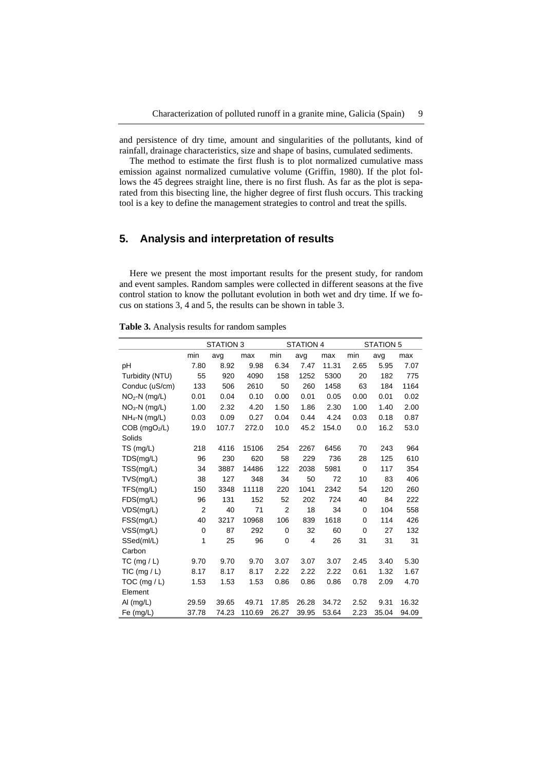and persistence of dry time, amount and singularities of the pollutants, kind of rainfall, drainage characteristics, size and shape of basins, cumulated sediments.

The method to estimate the first flush is to plot normalized cumulative mass emission against normalized cumulative volume (Griffin, 1980). If the plot follows the 45 degrees straight line, there is no first flush. As far as the plot is separated from this bisecting line, the higher degree of first flush occurs. This tracking tool is a key to define the management strategies to control and treat the spills.

# **5. Analysis and interpretation of results**

Here we present the most important results for the present study, for random and event samples. Random samples were collected in different seasons at the five control station to know the pollutant evolution in both wet and dry time. If we focus on stations 3, 4 and 5, the results can be shown in table 3.

| Table 3. Analysis results for random samples |
|----------------------------------------------|
|----------------------------------------------|

|                           | <b>STATION 3</b> |       |        |                | <b>STATION 4</b> |       | <b>STATION 5</b> |       |       |
|---------------------------|------------------|-------|--------|----------------|------------------|-------|------------------|-------|-------|
|                           | min              | avg   | max    | min            | avg              | max   | min              | avg   | max   |
| pH                        | 7.80             | 8.92  | 9.98   | 6.34           | 7.47             | 11.31 | 2.65             | 5.95  | 7.07  |
| Turbidity (NTU)           | 55               | 920   | 4090   | 158            | 1252             | 5300  | 20               | 182   | 775   |
| Conduc (uS/cm)            | 133              | 506   | 2610   | 50             | 260              | 1458  | 63               | 184   | 1164  |
| $NO2-N$ (mg/L)            | 0.01             | 0.04  | 0.10   | 0.00           | 0.01             | 0.05  | 0.00             | 0.01  | 0.02  |
| $NO3-N$ (mg/L)            | 1.00             | 2.32  | 4.20   | 1.50           | 1.86             | 2.30  | 1.00             | 1.40  | 2.00  |
| $NH_4-N$ (mg/L)           | 0.03             | 0.09  | 0.27   | 0.04           | 0.44             | 4.24  | 0.03             | 0.18  | 0.87  |
| COB (mgO <sub>2</sub> /L) | 19.0             | 107.7 | 272.0  | 10.0           | 45.2             | 154.0 | 0.0              | 16.2  | 53.0  |
| Solids                    |                  |       |        |                |                  |       |                  |       |       |
| TS (mg/L)                 | 218              | 4116  | 15106  | 254            | 2267             | 6456  | 70               | 243   | 964   |
| TDS(mg/L)                 | 96               | 230   | 620    | 58             | 229              | 736   | 28               | 125   | 610   |
| TSS(mg/L)                 | 34               | 3887  | 14486  | 122            | 2038             | 5981  | 0                | 117   | 354   |
| TVS(mg/L)                 | 38               | 127   | 348    | 34             | 50               | 72    | 10               | 83    | 406   |
| TFS(mg/L)                 | 150              | 3348  | 11118  | 220            | 1041             | 2342  | 54               | 120   | 260   |
| FDS(mg/L)                 | 96               | 131   | 152    | 52             | 202              | 724   | 40               | 84    | 222   |
| VDS(mg/L)                 | $\overline{2}$   | 40    | 71     | $\overline{2}$ | 18               | 34    | 0                | 104   | 558   |
| FSS(mg/L)                 | 40               | 3217  | 10968  | 106            | 839              | 1618  | 0                | 114   | 426   |
| VSS(mg/L)                 | $\mathbf 0$      | 87    | 292    | 0              | 32               | 60    | 0                | 27    | 132   |
| SSed(ml/L)                | 1                | 25    | 96     | 0              | 4                | 26    | 31               | 31    | 31    |
| Carbon                    |                  |       |        |                |                  |       |                  |       |       |
| TC (mg / L)               | 9.70             | 9.70  | 9.70   | 3.07           | 3.07             | 3.07  | 2.45             | 3.40  | 5.30  |
| TIC (mg $/L$ )            | 8.17             | 8.17  | 8.17   | 2.22           | 2.22             | 2.22  | 0.61             | 1.32  | 1.67  |
| TOC ( $mg/L$ )            | 1.53             | 1.53  | 1.53   | 0.86           | 0.86             | 0.86  | 0.78             | 2.09  | 4.70  |
| Element                   |                  |       |        |                |                  |       |                  |       |       |
| AI (mg/L)                 | 29.59            | 39.65 | 49.71  | 17.85          | 26.28            | 34.72 | 2.52             | 9.31  | 16.32 |
| Fe (mg/L)                 | 37.78            | 74.23 | 110.69 | 26.27          | 39.95            | 53.64 | 2.23             | 35.04 | 94.09 |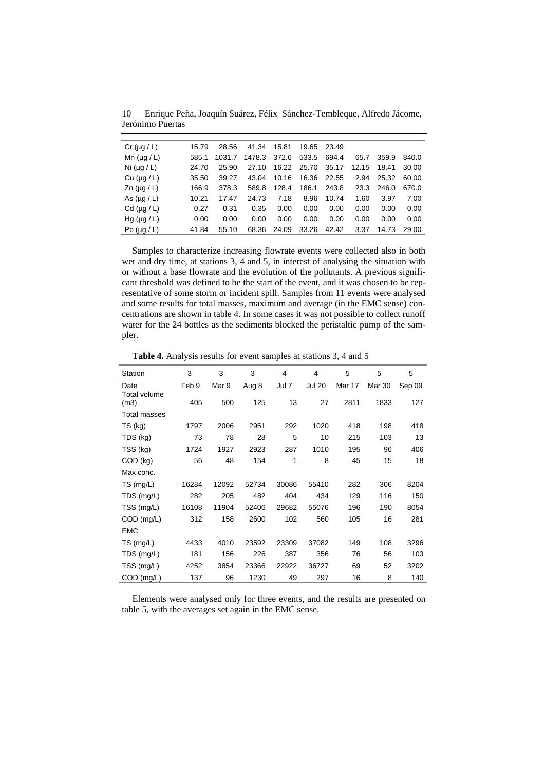10 Enrique Peña, Joaquín Suárez, Félix Sánchez-Tembleque, Alfredo Jácome, Jerónimo Puertas

| Cr $(\mu q/L)$       | 15.79 | 28.56  | 41.34  | 15.81 | 19.65 23.49 |       |       |       |       |
|----------------------|-------|--------|--------|-------|-------------|-------|-------|-------|-------|
| Mn $(\mu g / L)$     | 585.1 | 1031.7 | 1478.3 | 372.6 | 533.5       | 694.4 | 65.7  | 359.9 | 840.0 |
| Ni $(\mu q / L)$     | 24.70 | 25.90  | 27.10  |       | 16.22 25.70 | 35.17 | 12.15 | 18.41 | 30.00 |
| Cu $(\mu q/L)$       | 35.50 | 39.27  | 43.04  | 10.16 | 16.36       | 22.55 | 2.94  | 25.32 | 60.00 |
| $\text{Zn}$ (µg / L) | 166.9 | 378.3  | 589.8  | 128.4 | 186.1       | 243.8 | 23.3  | 246.0 | 670.0 |
| As $(\mu q/L)$       | 10.21 | 17.47  | 24.73  | 7.18  | 8.96        | 10.74 | 1.60  | 3.97  | 7.00  |
| Cd $(\mu q/L)$       | 0.27  | 0.31   | 0.35   | 0.00  | 0.00        | 0.00  | 0.00  | 0.00  | 0.00  |
| Hg ( $\mu$ g / L)    | 0.00  | 0.00   | 0.00   | 0.00  | 0.00        | 0.00  | 0.00  | 0.00  | 0.00  |
| Pb $(\mu q/L)$       | 41.84 | 55.10  | 68.36  | 24.09 | 33.26       | 42.42 | 3.37  | 14.73 | 29.00 |

Samples to characterize increasing flowrate events were collected also in both wet and dry time, at stations 3, 4 and 5, in interest of analysing the situation with or without a base flowrate and the evolution of the pollutants. A previous significant threshold was defined to be the start of the event, and it was chosen to be representative of some storm or incident spill. Samples from 11 events were analysed and some results for total masses, maximum and average (in the EMC sense) concentrations are shown in table 4. In some cases it was not possible to collect runoff water for the 24 bottles as the sediments blocked the peristaltic pump of the sampler.

**Table 4.** Analysis results for event samples at stations 3, 4 and 5

| Station              | 3     | 3     | 3     | 4     | 4             | 5      | 5      | 5      |
|----------------------|-------|-------|-------|-------|---------------|--------|--------|--------|
| Date<br>Total volume | Feb 9 | Mar 9 | Aug 8 | Jul 7 | <b>Jul 20</b> | Mar 17 | Mar 30 | Sep 09 |
| (m3)                 | 405   | 500   | 125   | 13    | 27            | 2811   | 1833   | 127    |
| Total masses         |       |       |       |       |               |        |        |        |
| TS (kg)              | 1797  | 2006  | 2951  | 292   | 1020          | 418    | 198    | 418    |
| TDS (kg)             | 73    | 78    | 28    | 5     | 10            | 215    | 103    | 13     |
| TSS (kg)             | 1724  | 1927  | 2923  | 287   | 1010          | 195    | 96     | 406    |
| COD (kg)             | 56    | 48    | 154   | 1     | 8             | 45     | 15     | 18     |
| Max conc.            |       |       |       |       |               |        |        |        |
| TS (mg/L)            | 16284 | 12092 | 52734 | 30086 | 55410         | 282    | 306    | 8204   |
| TDS (mg/L)           | 282   | 205   | 482   | 404   | 434           | 129    | 116    | 150    |
| TSS (mg/L)           | 16108 | 11904 | 52406 | 29682 | 55076         | 196    | 190    | 8054   |
| $COD$ (mg/L)         | 312   | 158   | 2600  | 102   | 560           | 105    | 16     | 281    |
| <b>EMC</b>           |       |       |       |       |               |        |        |        |
| TS (mg/L)            | 4433  | 4010  | 23592 | 23309 | 37082         | 149    | 108    | 3296   |
| TDS (mg/L)           | 181   | 156   | 226   | 387   | 356           | 76     | 56     | 103    |
| TSS (mg/L)           | 4252  | 3854  | 23366 | 22922 | 36727         | 69     | 52     | 3202   |
| COD (mg/L)           | 137   | 96    | 1230  | 49    | 297           | 16     | 8      | 140    |

Elements were analysed only for three events, and the results are presented on table 5, with the averages set again in the EMC sense.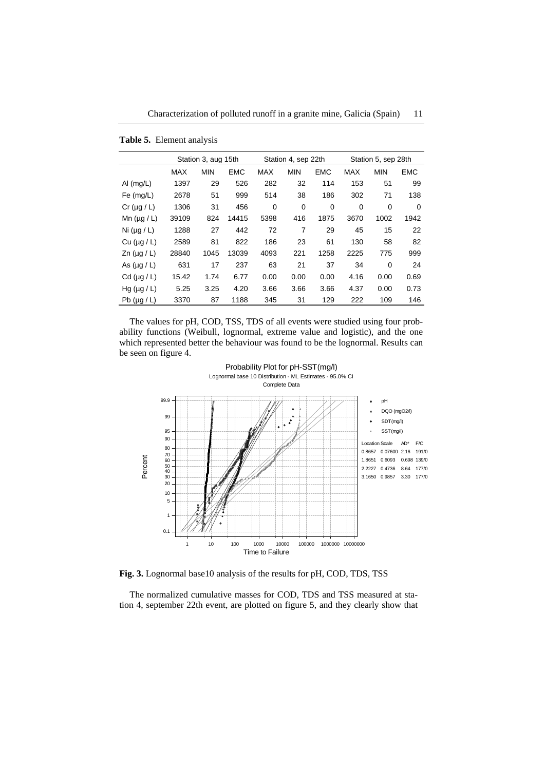Characterization of polluted runoff in a granite mine, Galicia (Spain) 11

|                      |            | Station 3, aug 15th |            |            | Station 4, sep 22th |            | Station 5, sep 28th |            |            |  |
|----------------------|------------|---------------------|------------|------------|---------------------|------------|---------------------|------------|------------|--|
|                      | <b>MAX</b> | <b>MIN</b>          | <b>EMC</b> | <b>MAX</b> | <b>MIN</b>          | <b>EMC</b> | <b>MAX</b>          | <b>MIN</b> | <b>EMC</b> |  |
| Al $(mg/L)$          | 1397       | 29                  | 526        | 282        | 32                  | 114        | 153                 | 51         | 99         |  |
| Fe $(mg/L)$          | 2678       | 51                  | 999        | 514        | 38                  | 186        | 302                 | 71         | 138        |  |
| $Cr (\mu g / L)$     | 1306       | 31                  | 456        | 0          | $\Omega$            | 0          | 0                   | 0          | $\Omega$   |  |
| Mn $(\mu q / L)$     | 39109      | 824                 | 14415      | 5398       | 416                 | 1875       | 3670                | 1002       | 1942       |  |
| Ni $(\mu q / L)$     | 1288       | 27                  | 442        | 72         | 7                   | 29         | 45                  | 15         | 22         |  |
| $Cu$ ( $\mu$ g / L)  | 2589       | 81                  | 822        | 186        | 23                  | 61         | 130                 | 58         | 82         |  |
| $\text{Zn}$ (µg / L) | 28840      | 1045                | 13039      | 4093       | 221                 | 1258       | 2225                | 775        | 999        |  |
| As $(\mu q/L)$       | 631        | 17                  | 237        | 63         | 21                  | 37         | 34                  | $\Omega$   | 24         |  |
| Cd $(\mu q/L)$       | 15.42      | 1.74                | 6.77       | 0.00       | 0.00                | 0.00       | 4.16                | 0.00       | 0.69       |  |
| Hg $(\mu q / L)$     | 5.25       | 3.25                | 4.20       | 3.66       | 3.66                | 3.66       | 4.37                | 0.00       | 0.73       |  |
| Pb $(\mu g/L)$       | 3370       | 87                  | 1188       | 345        | 31                  | 129        | 222                 | 109        | 146        |  |

**Table 5.** Element analysis

The values for pH, COD, TSS, TDS of all events were studied using four probability functions (Weibull, lognormal, extreme value and logistic), and the one which represented better the behaviour was found to be the lognormal. Results can be seen on figure 4.



**Fig. 3.** Lognormal base10 analysis of the results for pH, COD, TDS, TSS

The normalized cumulative masses for COD, TDS and TSS measured at station 4, september 22th event, are plotted on figure 5, and they clearly show that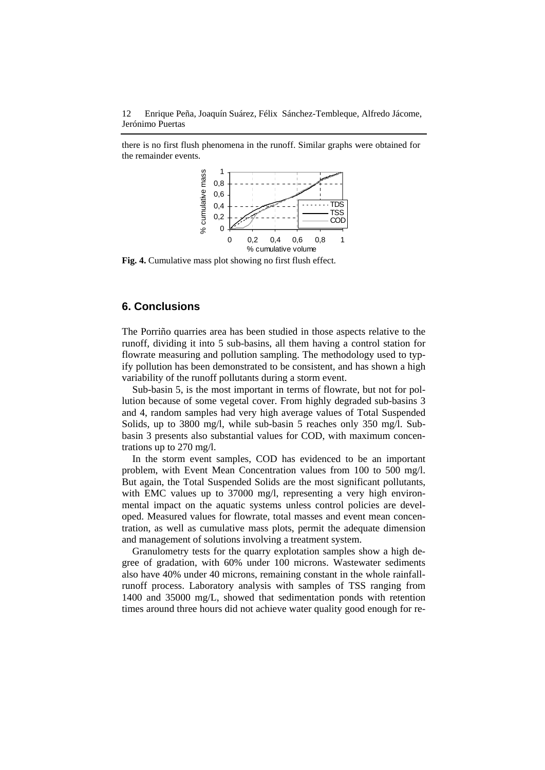there is no first flush phenomena in the runoff. Similar graphs were obtained for the remainder events.



**Fig. 4.** Cumulative mass plot showing no first flush effect.

# **6. Conclusions**

The Porriño quarries area has been studied in those aspects relative to the runoff, dividing it into 5 sub-basins, all them having a control station for flowrate measuring and pollution sampling. The methodology used to typify pollution has been demonstrated to be consistent, and has shown a high variability of the runoff pollutants during a storm event.

Sub-basin 5, is the most important in terms of flowrate, but not for pollution because of some vegetal cover. From highly degraded sub-basins 3 and 4, random samples had very high average values of Total Suspended Solids, up to 3800 mg/l, while sub-basin 5 reaches only 350 mg/l. Subbasin 3 presents also substantial values for COD, with maximum concentrations up to 270 mg/l.

In the storm event samples, COD has evidenced to be an important problem, with Event Mean Concentration values from 100 to 500 mg/l. But again, the Total Suspended Solids are the most significant pollutants, with EMC values up to 37000 mg/l, representing a very high environmental impact on the aquatic systems unless control policies are developed. Measured values for flowrate, total masses and event mean concentration, as well as cumulative mass plots, permit the adequate dimension and management of solutions involving a treatment system.

Granulometry tests for the quarry explotation samples show a high degree of gradation, with 60% under 100 microns. Wastewater sediments also have 40% under 40 microns, remaining constant in the whole rainfallrunoff process. Laboratory analysis with samples of TSS ranging from 1400 and 35000 mg/L, showed that sedimentation ponds with retention times around three hours did not achieve water quality good enough for re